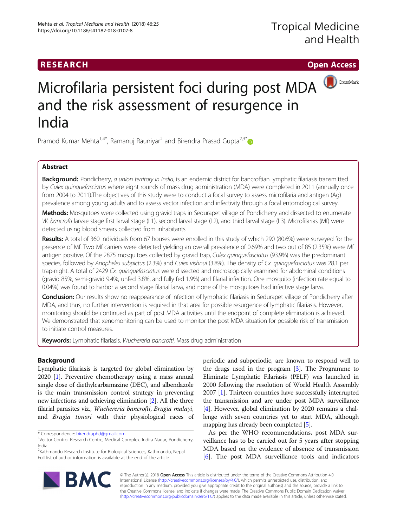## RESEARCH **RESEARCH CHOOSE INTERNATIONAL CONTRACT CONTRACT CONTRACT CONTRACT CONTRACT CONTRACT CONTRACT CONTRACT CONTRACT CONTRACT CONTRACT CONTRACT CONTRACT CONTRACT CONTRACT CONTRACT CONTRACT CONTRACT CONTRACT CONTRACT**



# Microfilaria persistent foci during post MDA <a>
Microfilaria persistent foci during post MDA and the risk assessment of resurgence in India

Pramod Kumar Mehta<sup>1,4[\\*](http://orcid.org/0000-0001-6477-6260)</sup>, Ramanuj Rauniyar<sup>2</sup> and Birendra Prasad Gupta<sup>2,3\*</sup>

## Abstract

Background: Pondicherry, a union territory in India, is an endemic district for bancroftian lymphatic filariasis transmitted by Culex quinquefasciatus where eight rounds of mass drug administration (MDA) were completed in 2011 (annually once from 2004 to 2011).The objectives of this study were to conduct a focal survey to assess microfilaria and antigen (Ag) prevalence among young adults and to assess vector infection and infectivity through a focal entomological survey.

Methods: Mosquitoes were collected using gravid traps in Sedurapet village of Pondicherry and dissected to enumerate W. bancrofti larvae stage first larval stage (L1), second larval stage (L2), and third larval stage (L3). Microfilarias (Mf) were detected using blood smears collected from inhabitants.

Results: A total of 360 individuals from 67 houses were enrolled in this study of which 290 (80.6%) were surveyed for the presence of Mf. Two Mf carriers were detected yielding an overall prevalence of 0.69% and two out of 85 (2.35%) were Mf antigen positive. Of the 2875 mosquitoes collected by gravid trap, Culex quinquefasciatus (93.9%) was the predominant species, followed by Anopheles subpictus (2.3%) and Culex vishnui (3.8%). The density of Cx. quinquefasciatus was 28.1 per trap-night. A total of 2429 Cx. quinquefasciatus were dissected and microscopically examined for abdominal conditions (gravid 85%, semi-gravid 9.4%, unfed 3.8%, and fully fed 1.9%) and filarial infection. One mosquito (infection rate equal to 0.04%) was found to harbor a second stage filarial larva, and none of the mosquitoes had infective stage larva.

Conclusion: Our results show no reappearance of infection of lymphatic filariasis in Sedurapet village of Pondicherry after MDA, and thus, no further intervention is required in that area for possible resurgence of lymphatic filariasis. However, monitoring should be continued as part of post MDA activities until the endpoint of complete elimination is achieved. We demonstrated that xenomonitoring can be used to monitor the post MDA situation for possible risk of transmission to initiate control measures.

Keywords: Lymphatic filariasis, Wuchereria bancrofti, Mass drug administration

## Background

Lymphatic filariasis is targeted for global elimination by 2020 [\[1](#page-4-0)]. Preventive chemotherapy using a mass annual single dose of diethylcarbamazine (DEC), and albendazole is the main transmission control strategy in preventing new infections and achieving elimination [\[2\]](#page-4-0). All the three filarial parasites viz., Wuchereria bancrofti, Brugia malayi, and Brugia timori with their physiological races of

\* Correspondence: [birendraphd@gmail.com](mailto:birendraphd@gmail.com) <sup>1</sup>

<sup>2</sup>Kathmandu Research Institute for Biological Sciences, Kathmandu, Nepal Full list of author information is available at the end of the article

periodic and subperiodic, are known to respond well to the drugs used in the program [[3](#page-4-0)]. The Programme to Eliminate Lymphatic Filariasis (PELF) was launched in 2000 following the resolution of World Health Assembly 2007 [\[1](#page-4-0)]. Thirteen countries have successfully interrupted the transmission and are under post MDA surveillance [[4\]](#page-4-0). However, global elimination by 2020 remains a challenge with seven countries yet to start MDA, although mapping has already been completed [[5](#page-4-0)].

As per the WHO recommendations, post MDA surveillance has to be carried out for 5 years after stopping MDA based on the evidence of absence of transmission [[6\]](#page-4-0). The post MDA surveillance tools and indicators



© The Author(s). 2018 Open Access This article is distributed under the terms of the Creative Commons Attribution 4.0 International License [\(http://creativecommons.org/licenses/by/4.0/](http://creativecommons.org/licenses/by/4.0/)), which permits unrestricted use, distribution, and reproduction in any medium, provided you give appropriate credit to the original author(s) and the source, provide a link to the Creative Commons license, and indicate if changes were made. The Creative Commons Public Domain Dedication waiver [\(http://creativecommons.org/publicdomain/zero/1.0/](http://creativecommons.org/publicdomain/zero/1.0/)) applies to the data made available in this article, unless otherwise stated.

<sup>&</sup>lt;sup>1</sup>Vector Control Research Centre, Medical Complex, Indira Nagar, Pondicherry, India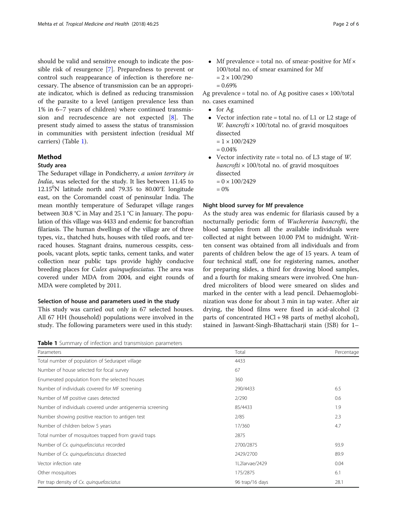should be valid and sensitive enough to indicate the possible risk of resurgence [[7\]](#page-4-0). Preparedness to prevent or control such reappearance of infection is therefore necessary. The absence of transmission can be an appropriate indicator, which is defined as reducing transmission of the parasite to a level (antigen prevalence less than 1% in 6–7 years of children) where continued transmission and recrudescence are not expected [[8\]](#page-4-0). The present study aimed to assess the status of transmission in communities with persistent infection (residual Mf carriers) (Table 1).

## Method

## Study area

The Sedurapet village in Pondicherry, a union territory in India, was selected for the study. It lies between 11.45 to 12.15<sup>0</sup>N latitude north and 79.35 to 80.00°E longitude east, on the Coromandel coast of peninsular India. The mean monthly temperature of Sedurapet village ranges between 30.8 °C in May and 25.1 °C in January. The population of this village was 4433 and endemic for bancroftian filariasis. The human dwellings of the village are of three types, viz., thatched huts, houses with tiled roofs, and terraced houses. Stagnant drains, numerous cesspits, cesspools, vacant plots, septic tanks, cement tanks, and water collection near public taps provide highly conducive breeding places for Culex quinquefasciatus. The area was covered under MDA from 2004, and eight rounds of MDA were completed by 2011.

## Selection of house and parameters used in the study

This study was carried out only in 67 selected houses. All 67 HH (household) populations were involved in the study. The following parameters were used in this study:

|  |  |  | Table 1 Summary of infection and transmission parameters |  |
|--|--|--|----------------------------------------------------------|--|
|--|--|--|----------------------------------------------------------|--|

 $\bullet$  Mf prevalence = total no. of smear-positive for Mf  $\times$ 100/total no. of smear examined for Mf  $= 2 \times 100/290$  $= 0.69\%$ 

Ag prevalence = total no. of Ag positive cases  $\times$  100/total no. cases examined

- for Ag
- Vector infection rate = total no. of L1 or L2 stage of W. bancrofti  $\times$  100/total no. of gravid mosquitoes dissected
	- $= 1 \times 100/2429$
	- $= 0.04\%$
- Vector infectivity rate = total no. of L3 stage of  $W$ .  $bancrofti \times 100/total$  no. of gravid mosquitoes dissected
	- $= 0 \times 100/2429$
	- $= 0\%$

## Night blood survey for Mf prevalence

As the study area was endemic for filariasis caused by a nocturnally periodic form of Wuchereria bancrofti, the blood samples from all the available individuals were collected at night between 10.00 PM to midnight. Written consent was obtained from all individuals and from parents of children below the age of 15 years. A team of four technical staff, one for registering names, another for preparing slides, a third for drawing blood samples, and a fourth for making smears were involved. One hundred microliters of blood were smeared on slides and marked in the center with a lead pencil. Dehaemoglobinization was done for about 3 min in tap water. After air drying, the blood films were fixed in acid-alcohol (2 parts of concentrated HCl + 98 parts of methyl alcohol), stained in Jaswant-Singh-Bhattacharji stain (JSB) for 1–

| Parameters                                                | Total           | Percentage |
|-----------------------------------------------------------|-----------------|------------|
| Total number of population of Sedurapet village           | 4433            |            |
| Number of house selected for focal survey                 | 67              |            |
| Enumerated population from the selected houses            | 360             |            |
| Number of individuals covered for MF screening            | 290/4433        | 6.5        |
| Number of Mf positive cases detected                      | 2/290           | 0.6        |
| Number of individuals covered under antigenemia screening | 85/4433         | 1.9        |
| Number showing positive reaction to antigen test          | 2/85            | 2.3        |
| Number of children below 5 years                          | 17/360          | 4.7        |
| Total number of mosquitoes trapped from gravid traps      | 2875            |            |
| Number of Cx. quinquefasciatus recorded                   | 2700/2875       | 93.9       |
| Number of Cx. quinquefasciatus dissected                  | 2429/2700       | 89.9       |
| Vector infection rate                                     | 1L2larvae/2429  | 0.04       |
| Other mosquitoes                                          | 175/2875        | 6.1        |
| Per trap density of Cx. quinquefasciatus                  | 96 trap/16 days | 28.1       |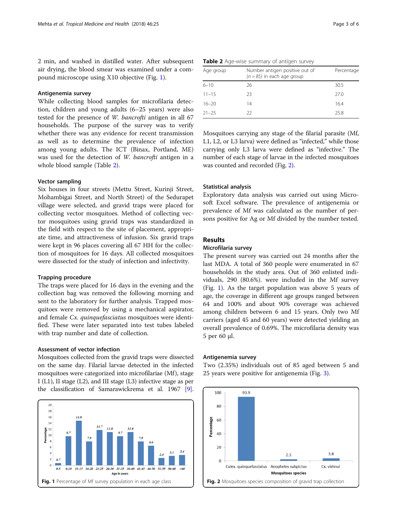<span id="page-2-0"></span>2 min, and washed in distilled water. After subsequent air drying, the blood smear was examined under a compound microscope using X10 objective (Fig. 1).

## Antigenemia survey

While collecting blood samples for microfilaria detection, children and young adults (6–25 years) were also tested for the presence of W. *bancrofti* antigen in all 67 households. The purpose of the survey was to verify whether there was any evidence for recent transmission as well as to determine the prevalence of infection among young adults. The ICT (Binax, Portland, ME) was used for the detection of W. bancrofti antigen in a whole blood sample (Table 2).

## Vector sampling

Six houses in four streets (Mettu Street, Kurinji Street, Mohambigai Street, and North Street) of the Sedurapet village were selected, and gravid traps were placed for collecting vector mosquitoes. Method of collecting vector mosquitoes using gravid traps was standardized in the field with respect to the site of placement, appropriate time, and attractiveness of infusion. Six gravid traps were kept in 96 places covering all 67 HH for the collection of mosquitoes for 16 days. All collected mosquitoes were dissected for the study of infection and infectivity.

## Trapping procedure

The traps were placed for 16 days in the evening and the collection bag was removed the following morning and sent to the laboratory for further analysis. Trapped mosquitoes were removed by using a mechanical aspirator, and female Cx. quinquefasciatus mosquitoes were identified. These were later separated into test tubes labeled with trap number and date of collection.

### Assessment of vector infection

Mosquitoes collected from the gravid traps were dissected on the same day. Filarial larvae detected in the infected mosquitoes were categorized into microfilariae (Mf), stage I (L1), II stage (L2), and III stage (L3) infective stage as per the classification of Samarawickrema et al. 1967 [[9](#page-4-0)].



|  |  | ╯ | . . | c | . . |
|--|--|---|-----|---|-----|
|  |  |   |     |   |     |
|  |  |   |     |   |     |
|  |  |   |     |   |     |

|  | Table 2 Age-wise summary of antigen survey |  |
|--|--------------------------------------------|--|
|--|--------------------------------------------|--|

| Age group | Number antigen positive out of<br>$(n = 85)$ in each age group | Percentage |
|-----------|----------------------------------------------------------------|------------|
| $6 - 10$  | 26                                                             | 30.5       |
| $11 - 15$ | 23                                                             | 27.0       |
| $16 - 20$ | 14                                                             | 16.4       |
| $21 - 25$ | 22                                                             | 25.8       |

Mosquitoes carrying any stage of the filarial parasite (Mf, L1, L2, or L3 larva) were defined as "infected," while those carrying only L3 larva were defined as "infective." The number of each stage of larvae in the infected mosquitoes was counted and recorded (Fig. 2).

## Statistical analysis

Exploratory data analysis was carried out using Microsoft Excel software. The prevalence of antigenemia or prevalence of Mf was calculated as the number of persons positive for Ag or Mf divided by the number tested.

## Results

## Microfilaria survey

The present survey was carried out 24 months after the last MDA. A total of 360 people were enumerated in 67 households in the study area. Out of 360 enlisted individuals, 290 (80.6%). were included in the Mf survey (Fig. 1). As the target population was above 5 years of age, the coverage in different age groups ranged between 64 and 100% and about 90% coverage was achieved among children between 6 and 15 years. Only two Mf carriers (aged 45 and 60 years) were detected yielding an overall prevalence of 0.69%. The microfilaria density was 5 per 60 μl.

## Antigenemia survey

Two (2.35%) individuals out of 85 aged between 5 and 25 years were positive for antigenemia (Fig. [3](#page-3-0)).

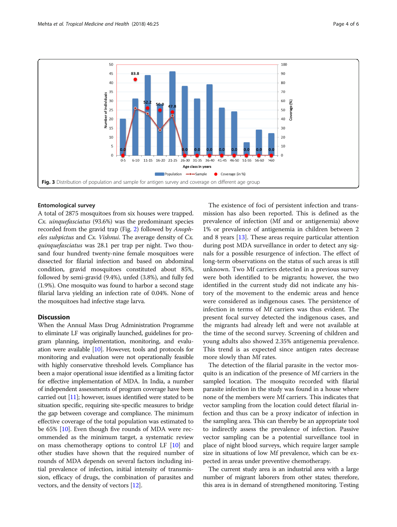<span id="page-3-0"></span>

## Entomological survey

A total of 2875 mosquitoes from six houses were trapped. Cx. uinquefasciatus (93.6%) was the predominant species recorded from the gravid trap (Fig. [2](#page-2-0)) followed by Anopheles subpictus and Cx. Vishnui. The average density of Cx. quinquefasciatus was 28.1 per trap per night. Two thousand four hundred twenty-nine female mosquitoes were dissected for filarial infection and based on abdominal condition, gravid mosquitoes constituted about 85%, followed by semi-gravid (9.4%), unfed (3.8%), and fully fed (1.9%). One mosquito was found to harbor a second stage filarial larva yielding an infection rate of 0.04%. None of the mosquitoes had infective stage larva.

## Discussion

When the Annual Mass Drug Administration Programme to eliminate LF was originally launched, guidelines for program planning, implementation, monitoring, and evaluation were available [\[10\]](#page-4-0). However, tools and protocols for monitoring and evaluation were not operationally feasible with highly conservative threshold levels. Compliance has been a major operational issue identified as a limiting factor for effective implementation of MDA. In India, a number of independent assessments of program coverage have been carried out [\[11\]](#page-4-0); however, issues identified were stated to be situation specific, requiring site-specific measures to bridge the gap between coverage and compliance. The minimum effective coverage of the total population was estimated to be 65% [[10](#page-4-0)]. Even though five rounds of MDA were recommended as the minimum target, a systematic review on mass chemotherapy options to control LF [\[10\]](#page-4-0) and other studies have shown that the required number of rounds of MDA depends on several factors including initial prevalence of infection, initial intensity of transmission, efficacy of drugs, the combination of parasites and vectors, and the density of vectors [[12](#page-4-0)].

The existence of foci of persistent infection and transmission has also been reported. This is defined as the prevalence of infection (Mf and or antigenemia) above 1% or prevalence of antigenemia in children between 2 and 8 years [[13](#page-4-0)]. These areas require particular attention during post MDA surveillance in order to detect any signals for a possible resurgence of infection. The effect of long-term observations on the status of such areas is still unknown. Two Mf carriers detected in a previous survey were both identified to be migrants; however, the two identified in the current study did not indicate any history of the movement to the endemic areas and hence were considered as indigenous cases. The persistence of infection in terms of Mf carriers was thus evident. The present focal survey detected the indigenous cases, and the migrants had already left and were not available at the time of the second survey. Screening of children and young adults also showed 2.35% antigenemia prevalence. This trend is as expected since antigen rates decrease more slowly than Mf rates.

The detection of the filarial parasite in the vector mosquito is an indication of the presence of Mf carriers in the sampled location. The mosquito recorded with filarial parasite infection in the study was found in a house where none of the members were Mf carriers. This indicates that vector sampling from the location could detect filarial infection and thus can be a proxy indicator of infection in the sampling area. This can thereby be an appropriate tool to indirectly assess the prevalence of infection. Passive vector sampling can be a potential surveillance tool in place of night blood surveys, which require larger sample size in situations of low Mf prevalence, which can be expected in areas under preventive chemotherapy.

The current study area is an industrial area with a large number of migrant laborers from other states; therefore, this area is in demand of strengthened monitoring. Testing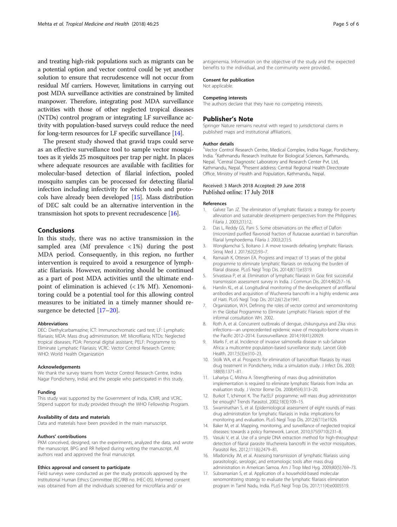<span id="page-4-0"></span>and treating high-risk populations such as migrants can be a potential option and vector control could be yet another solution to ensure that recrudescence will not occur from residual Mf carriers. However, limitations in carrying out post MDA surveillance activities are constrained by limited manpower. Therefore, integrating post MDA surveillance activities with those of other neglected tropical diseases (NTDs) control program or integrating LF surveillance activity with population-based surveys could reduce the need for long-term resources for LF specific surveillance [14].

The present study showed that gravid traps could serve as an effective surveillance tool to sample vector mosquitoes as it yields 25 mosquitoes per trap per night. In places where adequate resources are available with facilities for molecular-based detection of filarial infection, pooled mosquito samples can be processed for detecting filarial infection including infectivity for which tools and protocols have already been developed [15]. Mass distribution of DEC salt could be an alternative intervention in the transmission hot spots to prevent recrudescence [16].

## Conclusions

In this study, there was no active transmission in the sampled area (Mf prevalence  $\langle 1\% \rangle$  during the post MDA period. Consequently, in this region, no further intervention is required to avoid a resurgence of lymphatic filariasis. However, monitoring should be continued as a part of post MDA activities until the ultimate endpoint of elimination is achieved  $(< 1\%$  Mf). Xenomonitoring could be a potential tool for this allowing control measures to be initiated in a timely manner should resurgence be detected [17–[20](#page-5-0)].

#### Abbreviations

DEC: Diethylcarbamazine; ICT: Immunochromatic card test; LF: Lymphatic filariasis; MDA: Mass drug administration; Mf: Microfilaria; NTDs: Neglected tropical diseases; PDA: Personal digital assistant; PELF: Programme to Eliminate Lymphatic Filariasis; VCRC: Vector Control Research Centre; WHO: World Health Organization

#### Acknowledgements

We thank the survey teams from Vector Control Research Centre, Indira Nagar Pondicherry, India) and the people who participated in this study.

#### Funding

This study was supported by the Government of India, ICMR, and VCRC. Stipend support for study provided through the WHO Fellowship Program.

#### Availability of data and materials

Data and materials have been provided in the main manuscript.

#### Authors' contributions

PKM conceived, designed, ran the experiments, analyzed the data, and wrote the manuscript. BPG and RR helped during writing the manuscript. All authors read and approved the final manuscript.

#### Ethics approval and consent to participate

Field surveys were conducted as per the study protocols approved by the Institutional Human Ethics Committee (IEC/IRB no. IHEC-05). Informed consent was obtained from all the individuals screened for microfilaria and/ or

antigenemia. Information on the objective of the study and the expected benefits to the individual, and the community were provided.

#### Consent for publication

Not applicable.

#### Competing interests

The authors declare that they have no competing interests.

## Publisher's Note

Springer Nature remains neutral with regard to jurisdictional claims in published maps and institutional affiliations.

#### Author details

<sup>1</sup>Vector Control Research Centre, Medical Complex, Indira Nagar, Pondicherry, India. <sup>2</sup> Kathmandu Research Institute for Biological Sciences, Kathmandu, Nepal. <sup>3</sup>Central Diagnostic Laboratory and Research Center Pvt. Ltd, Kathmandu, Nepal. <sup>4</sup>Present address: Central Regional Health Directorate Office, Ministry of Health and Population, Kathmandu, Nepal.

## Received: 3 March 2018 Accepted: 29 June 2018 Published online: 17 July 2018

#### References

- 1. Galvez Tan JZ. The elimination of lymphatic filariasis: a strategy for poverty alleviation and sustainable development–perspectives from the Philippines. Filaria J. 2003;2(1):12.
- 2. Das L, Reddy GS, Pani S. Some observations on the effect of Daflon (micronized purified flavonoid fraction of Rutaceae aurantiae) in bancroftian filarial lymphoedema. Filaria J. 2003;2(1):5.
- 3. Wongkamchai S, Boitano J. A move towards defeating lymphatic filariasis. Siriraj Med J. 2017;62(2):93–7.
- 4. Ramaiah K, Ottesen EA. Progress and impact of 13 years of the global programme to eliminate lymphatic filariasis on reducing the burden of filarial disease. PLoS Negl Trop Dis. 2014;8(11):e3319.
- 5. Srivastava P, et al. Elimination of lymphatic filariasis in Goa: first successful transmission assessment survey in India. J Commun Dis. 2014;46(2):7–16.
- 6. Hamlin KL, et al. Longitudinal monitoring of the development of antifilarial antibodies and acquisition of Wuchereria bancrofti in a highly endemic area of Haiti. PLoS Negl Trop Dis. 2012;6(12):e1941.
- 7. Organization, W.H, Defining the roles of vector control and xenomonitoring in the Global Programme to Eliminate Lymphatic Filariasis: report of the informal consultation WH. 2002.
- 8. Roth A, et al. Concurrent outbreaks of dengue, chikungunya and Zika virus infections—an unprecedented epidemic wave of mosquito-borne viruses in the Pacific 2012–2014. Eurosurveillance. 2014;19(41):20929.
- 9. Marks F, et al. Incidence of invasive salmonella disease in sub-Saharan Africa: a multicentre population-based surveillance study. Lancet Glob Health. 2017;5(3):e310–23.
- 10. Stolk WA, et al. Prospects for elimination of bancroftian filariasis by mass drug treatment in Pondicherry, India: a simulation study. J Infect Dis. 2003; 188(9):1371–81.
- 11. Lahariya C, Mishra A. Strengthening of mass drug administration implementation is required to eliminate lymphatic filariasis from India: an evaluation study. J Vector Borne Dis. 2008;45(4):313–20.
- 12. Burkot T, Ichimori K. The PacELF programme: will mass drug administration be enough? Trends Parasitol. 2002;18(3):109–15.
- 13. Swaminathan S, et al. Epidemiological assessment of eight rounds of mass drug administration for lymphatic filariasis in India: implications for monitoring and evaluation. PLoS Negl Trop Dis. 2012;6(11):e1926.
- 14. Baker M, et al. Mapping, monitoring, and surveillance of neglected tropical diseases: towards a policy framework. Lancet. 2010;375(9710):231–8.
- 15. Vasuki V, et al. Use of a simple DNA extraction method for high-throughput detection of filarial parasite Wuchereria bancrofti in the vector mosquitoes. Parasitol Res. 2012;111(6):2479–81.
- 16. Mladonicky JM, et al. Assessing transmission of lymphatic filariasis using parasitologic, serologic, and entomologic tools after mass drug administration in American Samoa. Am J Trop Med Hyg. 2009;80(5):769–73.
- 17. Subramanian S, et al. Application of a household-based molecular xenomonitoring strategy to evaluate the lymphatic filariasis elimination program in Tamil Nadu, India. PLoS Negl Trop Dis. 2017;11(4):e0005519.